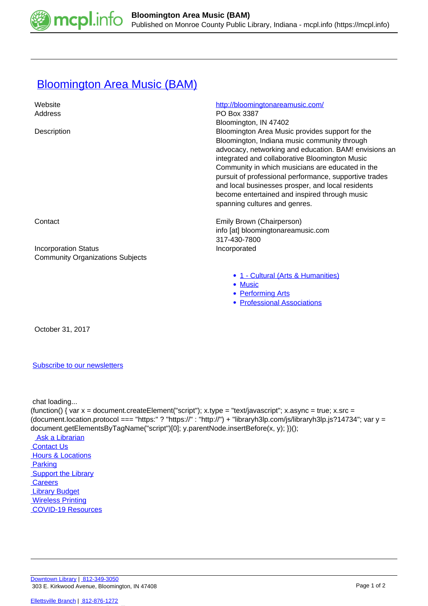

## **[Bloomington Area Music \(BAM\)](https://mcpl.info/commorg/bloomington-area-music-bam)**

| Website<br>Address                                                     | http://bloomingtonareamusic.com/<br>PO Box 3387<br>Bloomington, IN 47402                                                                                                                                                                                                                                                                                                                                                                                        |
|------------------------------------------------------------------------|-----------------------------------------------------------------------------------------------------------------------------------------------------------------------------------------------------------------------------------------------------------------------------------------------------------------------------------------------------------------------------------------------------------------------------------------------------------------|
| Description                                                            | Bloomington Area Music provides support for the<br>Bloomington, Indiana music community through<br>advocacy, networking and education. BAM! envisions an<br>integrated and collaborative Bloomington Music<br>Community in which musicians are educated in the<br>pursuit of professional performance, supportive trades<br>and local businesses prosper, and local residents<br>become entertained and inspired through music<br>spanning cultures and genres. |
| Contact                                                                | Emily Brown (Chairperson)<br>info [at] bloomingtonareamusic.com<br>317-430-7800                                                                                                                                                                                                                                                                                                                                                                                 |
| <b>Incorporation Status</b><br><b>Community Organizations Subjects</b> | Incorporated                                                                                                                                                                                                                                                                                                                                                                                                                                                    |
|                                                                        | • 1 - Cultural (Arts & Humanities)<br>$\bullet$ Music<br><b>Performing Arts</b><br>٠<br><b>Professional Associations</b><br>$\bullet$                                                                                                                                                                                                                                                                                                                           |

October 31, 2017

## [Subscribe to our newsletters](https://mcpl.info/geninfo/subscribe-think-library-newsletter)

chat loading...

(function() { var  $x =$  document.createElement("script");  $x.$ type = "text/javascript";  $x.$ async = true;  $x.$ src = (document.location.protocol === "https:" ? "https://" : "http://") + "libraryh3lp.com/js/libraryh3lp.js?14734"; var y = document.getElementsByTagName("script")[0]; y.parentNode.insertBefore(x, y); })(); Ask a Librarian  [Contact Us](https://mcpl.info/geninfo/contact-us) **Hours & Locations** 

 [Parking](https://mcpl.info/parking?utm_source=footer&utm_medium=links&utm_campaign=parking) **Support the Library Careers**  [Library Budget](https://budgetnotices.in.gov/unit_lookup.aspx?ct=53000)  [Wireless Printing](https://tbs.eprintit.com/portal/#/ppl/upload/monroecpl)  [COVID-19 Resources](https://mcpl.info/geninfo/local-covid-resources)